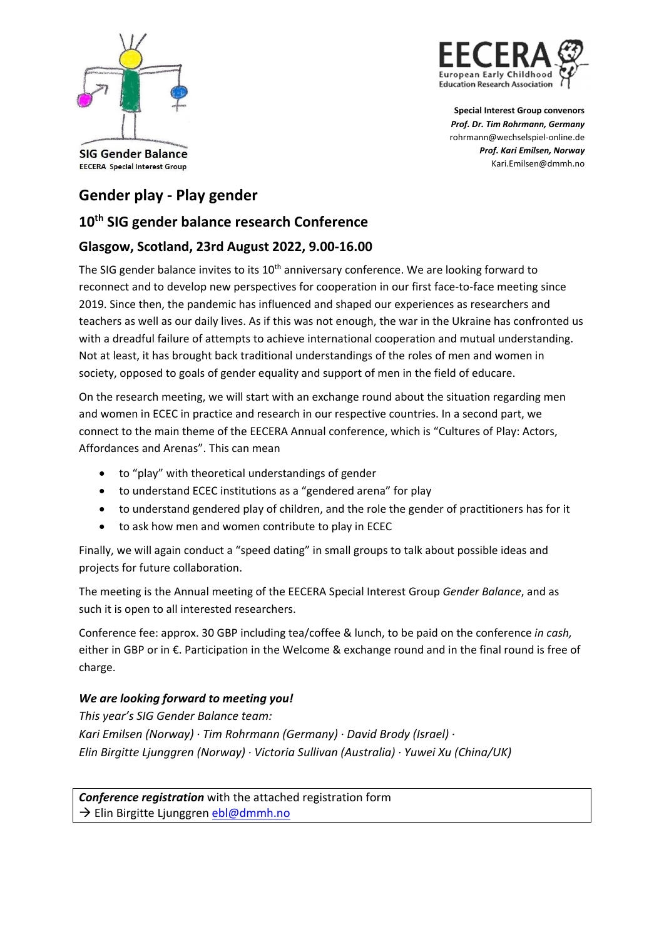



**Special Interest Group convenors** *Prof. Dr. Tim Rohrmann, Germany* rohrmann@wechselspiel‐online.de *Prof. Kari Emilsen, Norway* Kari.Emilsen@dmmh.no

#### **SIG Gender Balance EECERA** Special Interest Group

# **Gender play ‐ Play gender**

## **10th SIG gender balance research Conference**

## **Glasgow, Scotland, 23rd August 2022, 9.00‐16.00**

The SIG gender balance invites to its  $10<sup>th</sup>$  anniversary conference. We are looking forward to reconnect and to develop new perspectives for cooperation in our first face-to-face meeting since 2019. Since then, the pandemic has influenced and shaped our experiences as researchers and teachers as well as our daily lives. As if this was not enough, the war in the Ukraine has confronted us with a dreadful failure of attempts to achieve international cooperation and mutual understanding. Not at least, it has brought back traditional understandings of the roles of men and women in society, opposed to goals of gender equality and support of men in the field of educare.

On the research meeting, we will start with an exchange round about the situation regarding men and women in ECEC in practice and research in our respective countries. In a second part, we connect to the main theme of the EECERA Annual conference, which is "Cultures of Play: Actors, Affordances and Arenas". This can mean

- to "play" with theoretical understandings of gender
- to understand ECEC institutions as a "gendered arena" for play
- to understand gendered play of children, and the role the gender of practitioners has for it
- to ask how men and women contribute to play in ECEC

Finally, we will again conduct a "speed dating" in small groups to talk about possible ideas and projects for future collaboration.

The meeting is the Annual meeting of the EECERA Special Interest Group *Gender Balance*, and as such it is open to all interested researchers.

Conference fee: approx. 30 GBP including tea/coffee & lunch, to be paid on the conference *in cash,* either in GBP or in €. Participation in the Welcome & exchange round and in the final round is free of charge.

### *We are looking forward to meeting you!*

*This year's SIG Gender Balance team: Kari Emilsen (Norway) ∙ Tim Rohrmann (Germany) ∙ David Brody (Israel) ∙ Elin Birgitte Ljunggren (Norway) ∙ Victoria Sullivan (Australia) ∙ Yuwei Xu (China/UK)*

*Conference registration* with the attached registration form → Elin Birgitte Ljunggren ebl@dmmh.no